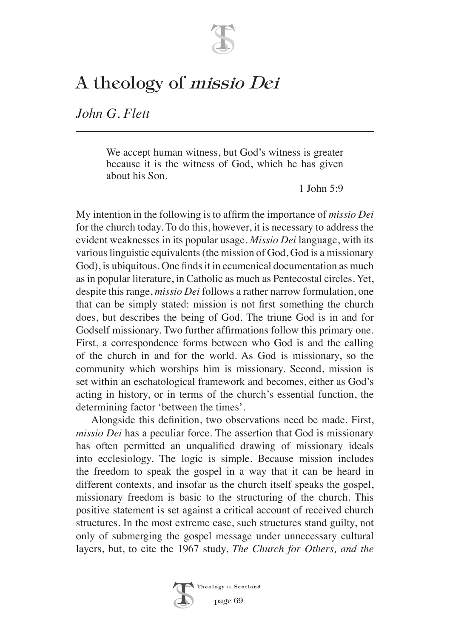

## A theology of missio Dei

*John G. Flett*

We accept human witness, but God's witness is greater because it is the witness of God, which he has given about his Son.

1 Iohn  $5.9$ 

My intention in the following is to affirm the importance of *missio Dei* for the church today. To do this, however, it is necessary to address the evident weaknesses in its popular usage. *Missio Dei* language, with its various linguistic equivalents (the mission of God, God is a missionary God), is ubiquitous. One finds it in ecumenical documentation as much as in popular literature, in Catholic as much as Pentecostal circles. Yet, despite this range, *missio Dei* follows a rather narrow formulation, one that can be simply stated: mission is not first something the church does, but describes the being of God. The triune God is in and for Godself missionary. Two further affirmations follow this primary one. First, a correspondence forms between who God is and the calling of the church in and for the world. As God is missionary, so the community which worships him is missionary. Second, mission is set within an eschatological framework and becomes, either as God's acting in history, or in terms of the church's essential function, the determining factor 'between the times'.

Alongside this definition, two observations need be made. First, *missio Dei* has a peculiar force. The assertion that God is missionary has often permitted an unqualified drawing of missionary ideals into ecclesiology. The logic is simple. Because mission includes the freedom to speak the gospel in a way that it can be heard in different contexts, and insofar as the church itself speaks the gospel, missionary freedom is basic to the structuring of the church. This positive statement is set against a critical account of received church structures. In the most extreme case, such structures stand guilty, not only of submerging the gospel message under unnecessary cultural layers, but, to cite the 1967 study, *The Church for Others, and the* 

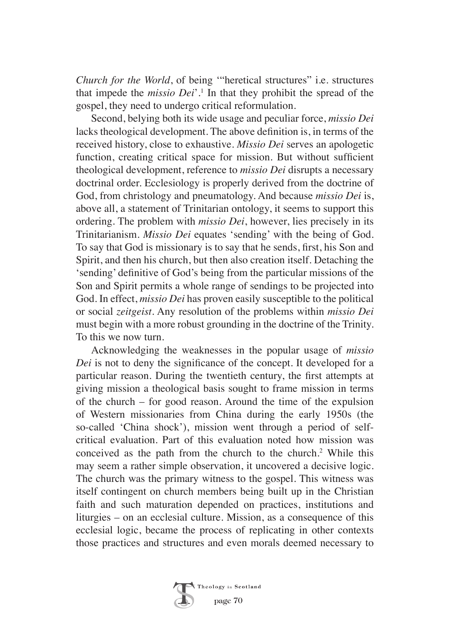*Church for the World*, of being '"heretical structures" i.e. structures that impede the *missio Dei*'.1 In that they prohibit the spread of the gospel, they need to undergo critical reformulation.

Second, belying both its wide usage and peculiar force, *missio Dei* lacks theological development. The above definition is, in terms of the received history, close to exhaustive. *Missio Dei* serves an apologetic function, creating critical space for mission. But without sufficient theological development, reference to *missio Dei* disrupts a necessary doctrinal order. Ecclesiology is properly derived from the doctrine of God, from christology and pneumatology. And because *missio Dei* is, above all, a statement of Trinitarian ontology, it seems to support this ordering. The problem with *missio Dei*, however, lies precisely in its Trinitarianism. *Missio Dei* equates 'sending' with the being of God. To say that God is missionary is to say that he sends, first, his Son and Spirit, and then his church, but then also creation itself. Detaching the 'sending' definitive of God's being from the particular missions of the Son and Spirit permits a whole range of sendings to be projected into God. In effect, *missio Dei* has proven easily susceptible to the political or social *zeitgeist*. Any resolution of the problems within *missio Dei* must begin with a more robust grounding in the doctrine of the Trinity. To this we now turn.

Acknowledging the weaknesses in the popular usage of *missio Dei* is not to deny the significance of the concept. It developed for a particular reason. During the twentieth century, the first attempts at giving mission a theological basis sought to frame mission in terms of the church – for good reason. Around the time of the expulsion of Western missionaries from China during the early 1950s (the so-called 'China shock'), mission went through a period of selfcritical evaluation. Part of this evaluation noted how mission was conceived as the path from the church to the church.2 While this may seem a rather simple observation, it uncovered a decisive logic. The church was the primary witness to the gospel. This witness was itself contingent on church members being built up in the Christian faith and such maturation depended on practices, institutions and liturgies – on an ecclesial culture. Mission, as a consequence of this ecclesial logic, became the process of replicating in other contexts those practices and structures and even morals deemed necessary to

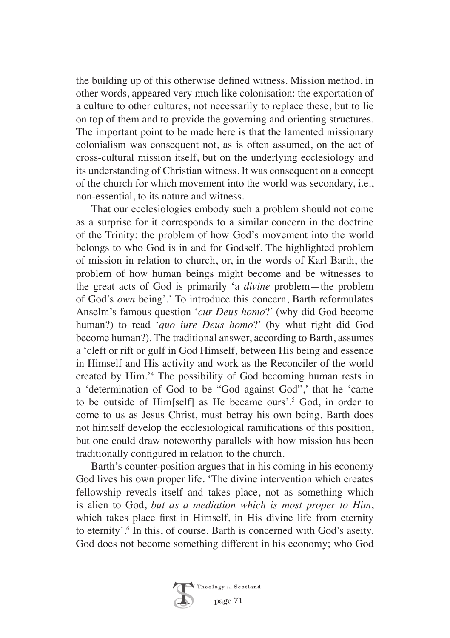the building up of this otherwise defined witness. Mission method, in other words, appeared very much like colonisation: the exportation of a culture to other cultures, not necessarily to replace these, but to lie on top of them and to provide the governing and orienting structures. The important point to be made here is that the lamented missionary colonialism was consequent not, as is often assumed, on the act of cross-cultural mission itself, but on the underlying ecclesiology and its understanding of Christian witness. It was consequent on a concept of the church for which movement into the world was secondary, i.e., non-essential, to its nature and witness.

That our ecclesiologies embody such a problem should not come as a surprise for it corresponds to a similar concern in the doctrine of the Trinity: the problem of how God's movement into the world belongs to who God is in and for Godself. The highlighted problem of mission in relation to church, or, in the words of Karl Barth, the problem of how human beings might become and be witnesses to the great acts of God is primarily 'a *divine* problem—the problem of God's *own* being'.3 To introduce this concern, Barth reformulates Anselm's famous question '*cur Deus homo*?' (why did God become human?) to read '*quo iure Deus homo*?' (by what right did God become human?). The traditional answer, according to Barth, assumes a 'cleft or rift or gulf in God Himself, between His being and essence in Himself and His activity and work as the Reconciler of the world created by Him.'4 The possibility of God becoming human rests in a 'determination of God to be "God against God",' that he 'came to be outside of Him[self] as He became ours'.5 God, in order to come to us as Jesus Christ, must betray his own being. Barth does not himself develop the ecclesiological ramifications of this position, but one could draw noteworthy parallels with how mission has been traditionally configured in relation to the church.

Barth's counter-position argues that in his coming in his economy God lives his own proper life. 'The divine intervention which creates fellowship reveals itself and takes place, not as something which is alien to God, *but as a mediation which is most proper to Him*, which takes place first in Himself, in His divine life from eternity to eternity'.6 In this, of course, Barth is concerned with God's aseity. God does not become something different in his economy; who God

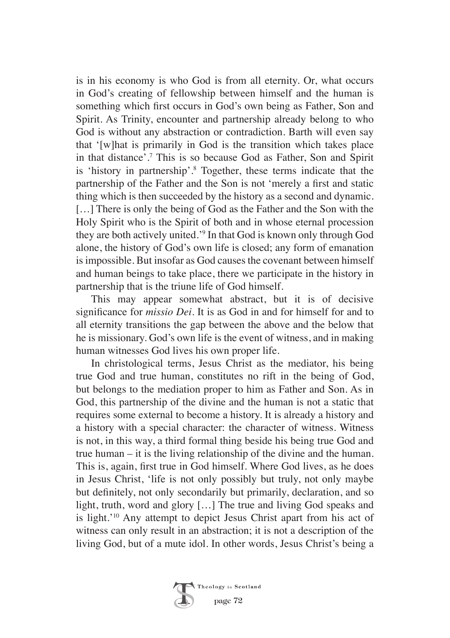is in his economy is who God is from all eternity. Or, what occurs in God's creating of fellowship between himself and the human is something which first occurs in God's own being as Father, Son and Spirit. As Trinity, encounter and partnership already belong to who God is without any abstraction or contradiction. Barth will even say that '[w]hat is primarily in God is the transition which takes place in that distance'.7 This is so because God as Father, Son and Spirit is 'history in partnership'.8 Together, these terms indicate that the partnership of the Father and the Son is not 'merely a first and static thing which is then succeeded by the history as a second and dynamic. [...] There is only the being of God as the Father and the Son with the Holy Spirit who is the Spirit of both and in whose eternal procession they are both actively united.'9 In that God is known only through God alone, the history of God's own life is closed; any form of emanation is impossible. But insofar as God causes the covenant between himself and human beings to take place, there we participate in the history in partnership that is the triune life of God himself.

This may appear somewhat abstract, but it is of decisive significance for *missio Dei*. It is as God in and for himself for and to all eternity transitions the gap between the above and the below that he is missionary. God's own life is the event of witness, and in making human witnesses God lives his own proper life.

In christological terms, Jesus Christ as the mediator, his being true God and true human, constitutes no rift in the being of God, but belongs to the mediation proper to him as Father and Son. As in God, this partnership of the divine and the human is not a static that requires some external to become a history. It is already a history and a history with a special character: the character of witness. Witness is not, in this way, a third formal thing beside his being true God and true human – it is the living relationship of the divine and the human. This is, again, first true in God himself. Where God lives, as he does in Jesus Christ, 'life is not only possibly but truly, not only maybe but definitely, not only secondarily but primarily, declaration, and so light, truth, word and glory […] The true and living God speaks and is light.'10 Any attempt to depict Jesus Christ apart from his act of witness can only result in an abstraction; it is not a description of the living God, but of a mute idol. In other words, Jesus Christ's being a

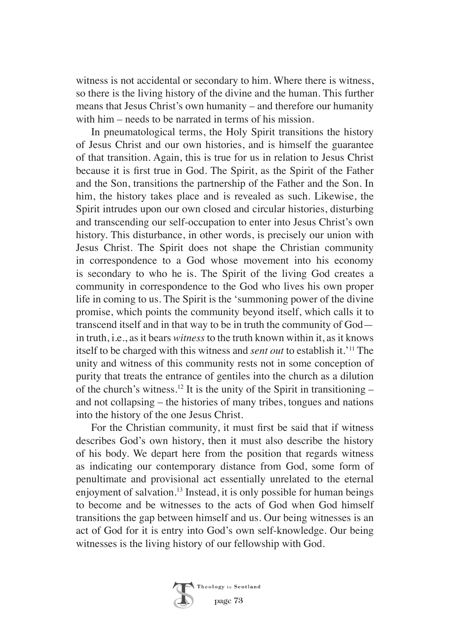witness is not accidental or secondary to him. Where there is witness, so there is the living history of the divine and the human. This further means that Jesus Christ's own humanity – and therefore our humanity with him – needs to be narrated in terms of his mission.

In pneumatological terms, the Holy Spirit transitions the history of Jesus Christ and our own histories, and is himself the guarantee of that transition. Again, this is true for us in relation to Jesus Christ because it is first true in God. The Spirit, as the Spirit of the Father and the Son, transitions the partnership of the Father and the Son. In him, the history takes place and is revealed as such. Likewise, the Spirit intrudes upon our own closed and circular histories, disturbing and transcending our self-occupation to enter into Jesus Christ's own history. This disturbance, in other words, is precisely our union with Jesus Christ. The Spirit does not shape the Christian community in correspondence to a God whose movement into his economy is secondary to who he is. The Spirit of the living God creates a community in correspondence to the God who lives his own proper life in coming to us. The Spirit is the 'summoning power of the divine promise, which points the community beyond itself, which calls it to transcend itself and in that way to be in truth the community of God in truth, i.e., as it bears *witness* to the truth known within it, as it knows itself to be charged with this witness and *sent out* to establish it.'11 The unity and witness of this community rests not in some conception of purity that treats the entrance of gentiles into the church as a dilution of the church's witness.<sup>12</sup> It is the unity of the Spirit in transitioning – and not collapsing – the histories of many tribes, tongues and nations into the history of the one Jesus Christ.

For the Christian community, it must first be said that if witness describes God's own history, then it must also describe the history of his body. We depart here from the position that regards witness as indicating our contemporary distance from God, some form of penultimate and provisional act essentially unrelated to the eternal enjoyment of salvation.13 Instead, it is only possible for human beings to become and be witnesses to the acts of God when God himself transitions the gap between himself and us. Our being witnesses is an act of God for it is entry into God's own self-knowledge. Our being witnesses is the living history of our fellowship with God.

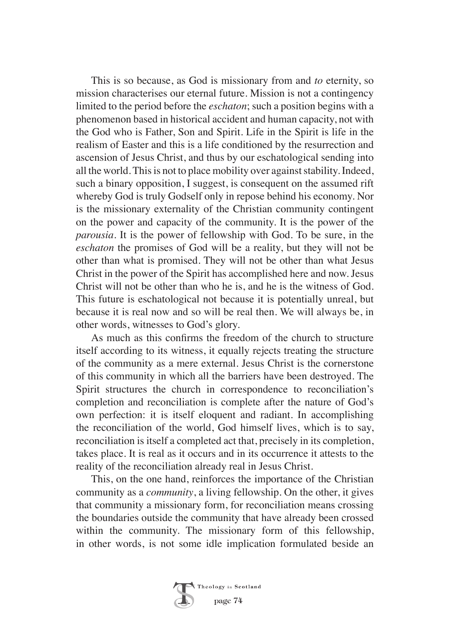This is so because, as God is missionary from and *to* eternity, so mission characterises our eternal future. Mission is not a contingency limited to the period before the *eschaton*; such a position begins with a phenomenon based in historical accident and human capacity, not with the God who is Father, Son and Spirit. Life in the Spirit is life in the realism of Easter and this is a life conditioned by the resurrection and ascension of Jesus Christ, and thus by our eschatological sending into all the world. This is not to place mobility over against stability. Indeed, such a binary opposition, I suggest, is consequent on the assumed rift whereby God is truly Godself only in repose behind his economy. Nor is the missionary externality of the Christian community contingent on the power and capacity of the community. It is the power of the *parousia*. It is the power of fellowship with God. To be sure, in the *eschaton* the promises of God will be a reality, but they will not be other than what is promised. They will not be other than what Jesus Christ in the power of the Spirit has accomplished here and now. Jesus Christ will not be other than who he is, and he is the witness of God. This future is eschatological not because it is potentially unreal, but because it is real now and so will be real then. We will always be, in other words, witnesses to God's glory.

As much as this confirms the freedom of the church to structure itself according to its witness, it equally rejects treating the structure of the community as a mere external. Jesus Christ is the cornerstone of this community in which all the barriers have been destroyed. The Spirit structures the church in correspondence to reconciliation's completion and reconciliation is complete after the nature of God's own perfection: it is itself eloquent and radiant. In accomplishing the reconciliation of the world, God himself lives, which is to say, reconciliation is itself a completed act that, precisely in its completion, takes place. It is real as it occurs and in its occurrence it attests to the reality of the reconciliation already real in Jesus Christ.

This, on the one hand, reinforces the importance of the Christian community as a *community*, a living fellowship. On the other, it gives that community a missionary form, for reconciliation means crossing the boundaries outside the community that have already been crossed within the community. The missionary form of this fellowship, in other words, is not some idle implication formulated beside an

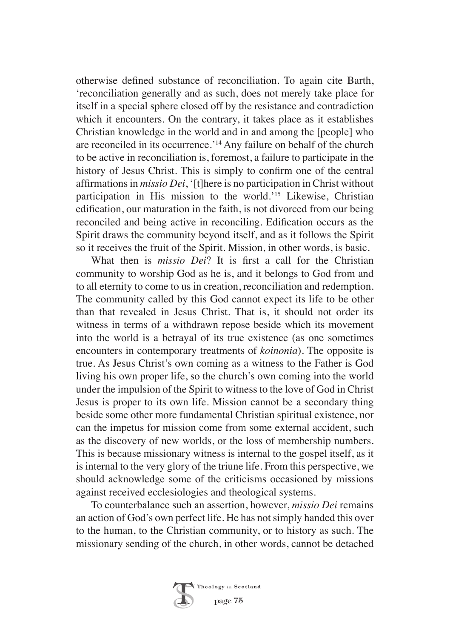otherwise defined substance of reconciliation. To again cite Barth, 'reconciliation generally and as such, does not merely take place for itself in a special sphere closed off by the resistance and contradiction which it encounters. On the contrary, it takes place as it establishes Christian knowledge in the world and in and among the [people] who are reconciled in its occurrence.'14 Any failure on behalf of the church to be active in reconciliation is, foremost, a failure to participate in the history of Jesus Christ. This is simply to confirm one of the central affirmations in *missio Dei*, '[t]here is no participation in Christ without participation in His mission to the world.'15 Likewise, Christian edification, our maturation in the faith, is not divorced from our being reconciled and being active in reconciling. Edification occurs as the Spirit draws the community beyond itself, and as it follows the Spirit so it receives the fruit of the Spirit. Mission, in other words, is basic.

What then is *missio Dei*? It is first a call for the Christian community to worship God as he is, and it belongs to God from and to all eternity to come to us in creation, reconciliation and redemption. The community called by this God cannot expect its life to be other than that revealed in Jesus Christ. That is, it should not order its witness in terms of a withdrawn repose beside which its movement into the world is a betrayal of its true existence (as one sometimes encounters in contemporary treatments of *koinonia*). The opposite is true. As Jesus Christ's own coming as a witness to the Father is God living his own proper life, so the church's own coming into the world under the impulsion of the Spirit to witness to the love of God in Christ Jesus is proper to its own life. Mission cannot be a secondary thing beside some other more fundamental Christian spiritual existence, nor can the impetus for mission come from some external accident, such as the discovery of new worlds, or the loss of membership numbers. This is because missionary witness is internal to the gospel itself, as it is internal to the very glory of the triune life. From this perspective, we should acknowledge some of the criticisms occasioned by missions against received ecclesiologies and theological systems.

To counterbalance such an assertion, however, *missio Dei* remains an action of God's own perfect life. He has not simply handed this over to the human, to the Christian community, or to history as such. The missionary sending of the church, in other words, cannot be detached

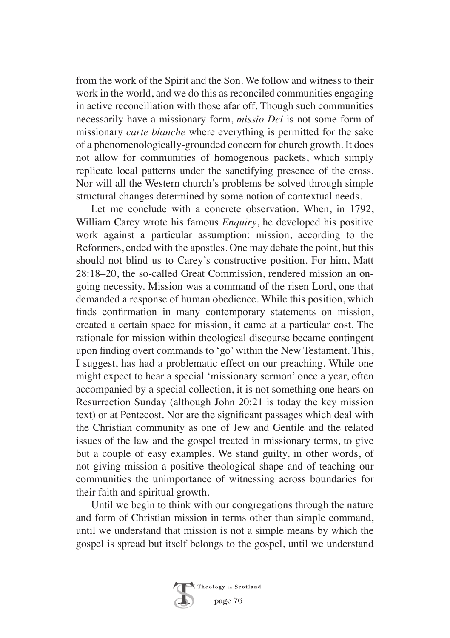from the work of the Spirit and the Son. We follow and witness to their work in the world, and we do this as reconciled communities engaging in active reconciliation with those afar off. Though such communities necessarily have a missionary form, *missio Dei* is not some form of missionary *carte blanche* where everything is permitted for the sake of a phenomenologically-grounded concern for church growth. It does not allow for communities of homogenous packets, which simply replicate local patterns under the sanctifying presence of the cross. Nor will all the Western church's problems be solved through simple structural changes determined by some notion of contextual needs.

Let me conclude with a concrete observation. When, in 1792, William Carey wrote his famous *Enquiry*, he developed his positive work against a particular assumption: mission, according to the Reformers, ended with the apostles. One may debate the point, but this should not blind us to Carey's constructive position. For him, Matt 28:18–20, the so-called Great Commission, rendered mission an ongoing necessity. Mission was a command of the risen Lord, one that demanded a response of human obedience. While this position, which finds confirmation in many contemporary statements on mission, created a certain space for mission, it came at a particular cost. The rationale for mission within theological discourse became contingent upon finding overt commands to 'go' within the New Testament. This, I suggest, has had a problematic effect on our preaching. While one might expect to hear a special 'missionary sermon' once a year, often accompanied by a special collection, it is not something one hears on Resurrection Sunday (although John 20:21 is today the key mission text) or at Pentecost. Nor are the significant passages which deal with the Christian community as one of Jew and Gentile and the related issues of the law and the gospel treated in missionary terms, to give but a couple of easy examples. We stand guilty, in other words, of not giving mission a positive theological shape and of teaching our communities the unimportance of witnessing across boundaries for their faith and spiritual growth.

Until we begin to think with our congregations through the nature and form of Christian mission in terms other than simple command, until we understand that mission is not a simple means by which the gospel is spread but itself belongs to the gospel, until we understand

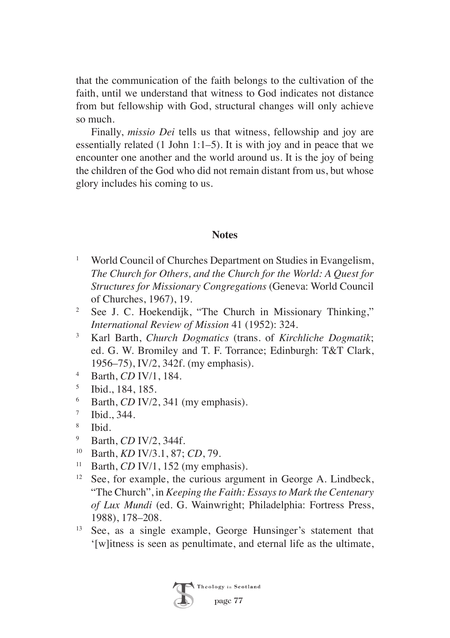that the communication of the faith belongs to the cultivation of the faith, until we understand that witness to God indicates not distance from but fellowship with God, structural changes will only achieve so much.

Finally, *missio Dei* tells us that witness, fellowship and joy are essentially related (1 John 1:1–5). It is with joy and in peace that we encounter one another and the world around us. It is the joy of being the children of the God who did not remain distant from us, but whose glory includes his coming to us.

## **Notes**

- <sup>1</sup> World Council of Churches Department on Studies in Evangelism, *The Church for Others, and the Church for the World: A Quest for Structures for Missionary Congregations* (Geneva: World Council of Churches, 1967), 19.
- <sup>2</sup> See J. C. Hoekendijk, "The Church in Missionary Thinking," *International Review of Mission* 41 (1952): 324.
- <sup>3</sup> Karl Barth, *Church Dogmatics* (trans. of *Kirchliche Dogmatik*; ed. G. W. Bromiley and T. F. Torrance; Edinburgh: T&T Clark, 1956–75), IV/2, 342f. (my emphasis).
- <sup>4</sup> Barth, *CD* IV/1, 184.
- <sup>5</sup> Ibid., 184, 185.
- <sup>6</sup> Barth, *CD* IV/2, 341 (my emphasis).
- $\frac{7}{8}$  Ibid., 344.
- $\frac{8}{9}$  Ibid.
- <sup>9</sup> Barth, *CD* IV/2, 344f.
- <sup>10</sup> Barth, *KD* IV/3.1, 87; *CD*, 79.
- <sup>11</sup> Barth, *CD* IV/1, 152 (my emphasis).
- <sup>12</sup> See, for example, the curious argument in George A. Lindbeck, "The Church", in *Keeping the Faith: Essays to Mark the Centenary of Lux Mundi* (ed. G. Wainwright; Philadelphia: Fortress Press, 1988), 178–208.
- <sup>13</sup> See, as a single example, George Hunsinger's statement that '[w]itness is seen as penultimate, and eternal life as the ultimate,